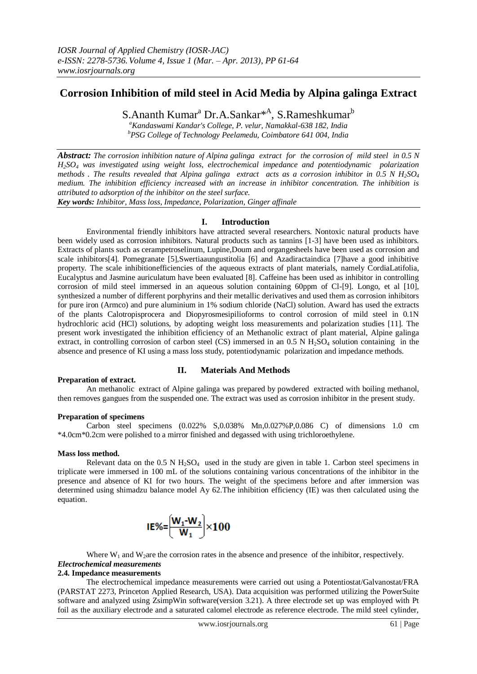# **Corrosion Inhibition of mild steel in Acid Media by Alpina galinga Extract**

S.Ananth Kumar<sup>a</sup> Dr.A.Sankar<sup>\*A</sup>, S.Rameshkumar<sup>b</sup>

*<sup>a</sup>Kandaswami Kandar's College, P. velur, Namakkal-638 182, India*

*<sup>b</sup>PSG College of Technology Peelamedu, Coimbatore 641 004, India*

*Abstract: The corrosion inhibition nature of Alpina galinga extract for the corrosion of mild steel in 0.5 N H2SO<sup>4</sup> was investigated using weight loss, electrochemical impedance and potentiodynamic polarization methods . The results revealed that Alpina galinga extract acts as a corrosion inhibitor in 0.5 N H2SO<sup>4</sup> medium. The inhibition efficiency increased with an increase in inhibitor concentration. The inhibition is attributed to adsorption of the inhibitor on the steel surface.*

*Key words: Inhibitor, Mass loss, Impedance, Polarization, Ginger affinale*

# **I. Introduction**

Environmental friendly inhibitors have attracted several researchers. Nontoxic natural products have been widely used as corrosion inhibitors. Natural products such as tannins [1-3] have been used as inhibitors. Extracts of plants such as cerampetroselinum, Lupine,Doum and organgesheels have been used as corrosion and scale inhibitors[4]. Pomegranate [5],Swertiaaungustitolia [6] and Azadiractaindica [7]have a good inhibitive property. The scale inhibitionefficiencies of the aqueous extracts of plant materials, namely CordiaLatifolia, Eucalyptus and Jasmine auriculatum have been evaluated [8]. Caffeine has been used as inhibitor in controlling corrosion of mild steel immersed in an aqueous solution containing 60ppm of Cl-[9]. Longo, et al [10], synthesized a number of different porphyrins and their metallic derivatives and used them as corrosion inhibitors for pure iron (Armco) and pure aluminium in 1% sodium chloride (NaCl) solution. Award has used the extracts of the plants Calotropisprocera and Diopyrosmesipilioforms to control corrosion of mild steel in 0.1N hydrochloric acid (HCl) solutions, by adopting weight loss measurements and polarization studies [11]. The present work investigated the inhibition efficiency of an Methanolic extract of plant material, Alpine galinga extract, in controlling corrosion of carbon steel (CS) immersed in an  $0.5 \text{ N H}_2\text{SO}_4$  solution containing in the absence and presence of KI using a mass loss study, potentiodynamic polarization and impedance methods.

# **Preparation of extract.**

## **II. Materials And Methods**

An methanolic extract of Alpine galinga was prepared by powdered extracted with boiling methanol, then removes gangues from the suspended one. The extract was used as corrosion inhibitor in the present study.

## **Preparation of specimens**

Carbon steel specimens (0.022% S,0.038% Mn,0.027%P,0.086 C) of dimensions 1.0 cm \*4.0cm\*0.2cm were polished to a mirror finished and degassed with using trichloroethylene.

## **Mass loss method.**

Relevant data on the  $0.5 \text{ N H}_2$ SO<sub>4</sub> used in the study are given in table 1. Carbon steel specimens in triplicate were immersed in 100 mL of the solutions containing various concentrations of the inhibitor in the presence and absence of KI for two hours. The weight of the specimens before and after immersion was determined using shimadzu balance model Ay 62.The inhibition efficiency (IE) was then calculated using the equation.

$$
IE\% = \left(\frac{W_1 \cdot W_2}{W_1}\right) \times 100
$$

Where  $W_1$  and  $W_2$  are the corrosion rates in the absence and presence of the inhibitor, respectively.

#### *Electrochemical measurements* **2.4. Impedance measurements**

The electrochemical impedance measurements were carried out using a Potentiostat/Galvanostat/FRA (PARSTAT 2273, Princeton Applied Research, USA). Data acquisition was performed utilizing the PowerSuite software and analyzed using ZsimpWin software(version 3.21). A three electrode set up was employed with Pt foil as the auxiliary electrode and a saturated calomel electrode as reference electrode. The mild steel cylinder,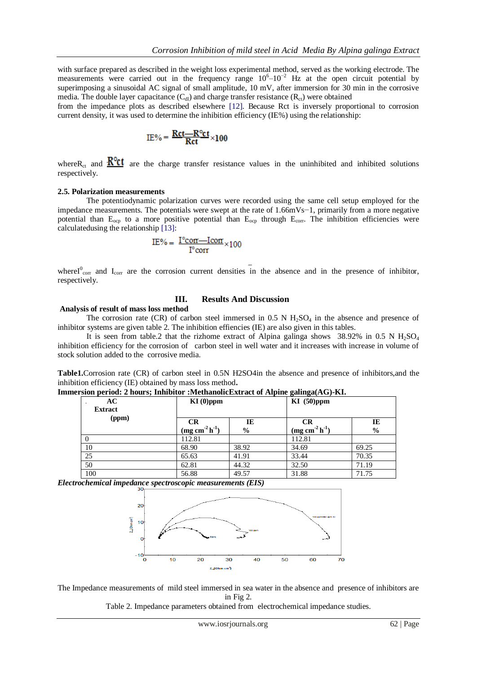with surface prepared as described in the weight loss experimental method, served as the working electrode. The measurements were carried out in the frequency range  $10^6 - 10^{-2}$  Hz at the open circuit potential by superimposing a sinusoidal AC signal of small amplitude, 10 mV, after immersion for 30 min in the corrosive media. The double layer capacitance  $(C_{d})$  and charge transfer resistance  $(R_{ct})$  were obtained

from the impedance plots as described elsewhere [12]. Because Rct is inversely proportional to corrosion current density, it was used to determine the inhibition efficiency (IE%) using the relationship:

$$
IE\% = \frac{Rct - R^o ct}{Rct} \times 100
$$

where R<sub>ct</sub> and  $\frac{R^oct}{r}$  are the charge transfer resistance values in the uninhibited and inhibited solutions respectively.

#### **2.5. Polarization measurements**

The potentiodynamic polarization curves were recorded using the same cell setup employed for the impedance measurements. The potentials were swept at the rate of 1.66mVs−1, primarily from a more negative potential than  $E_{\text{ocp}}$  to a more positive potential than  $E_{\text{ocp}}$  through  $E_{\text{corr}}$ . The inhibition efficiencies were calculatedusing the relationship [13]:

$$
IE\% = \frac{I^{\circ}corr - Icorr}{I^{\circ}corr} \times 100
$$

whereI $^0$ <sub>corr</sub> and I<sub>corr</sub> are the corrosion current densities in the absence and in the presence of inhibitor, respectively.

 $\overline{a}$ 

# **Analysis of result of mass loss method** The corrosion rate (CR) of carbon steel immersed in  $0.5 \text{ N H}_2\text{SO}_4$  in the absence and presence of

**III. Results And Discussion**

inhibitor systems are given table 2. The inhibition effiencies (IE) are also given in this tables.

It is seen from table.2 that the rizhome extract of Alpina galinga shows 38.92% in 0.5 N  $H_2SO_4$ inhibition efficiency for the corrosion of carbon steel in well water and it increases with increase in volume of stock solution added to the corrosive media.

**Table1.**Corrosion rate (CR) of carbon steel in 0.5N H2SO4in the absence and presence of inhibitors,and the inhibition efficiency (IE) obtained by mass loss method**.**

**Immersion period: 2 hours; Inhibitor :MethanolicExtract of Alpine galinga(AG)-KI.**

| AC<br><b>Extract</b> | $KI(0)$ ppm           |                     |                              | $KI$ (50)ppm        |  |
|----------------------|-----------------------|---------------------|------------------------------|---------------------|--|
| (ppm)                | CR<br>$(mg cm-2 h-1)$ | IE<br>$\frac{6}{6}$ | <b>CR</b><br>$(mg cm-2 h-1)$ | IE<br>$\frac{0}{0}$ |  |
| $\theta$             | 112.81                |                     | 112.81                       |                     |  |
| 10                   | 68.90                 | 38.92               | 34.69                        | 69.25               |  |
| 25                   | 65.63                 | 41.91               | 33.44                        | 70.35               |  |
| 50                   | 62.81                 | 44.32               | 32.50                        | 71.19               |  |
| 100                  | 56.88                 | 49.57               | 31.88                        | 71.75               |  |

*Electrochemical impedance spectroscopic measurements (EIS)*



The Impedance measurements of mild steel immersed in sea water in the absence and presence of inhibitors are in Fig 2.

Table 2. Impedance parameters obtained from electrochemical impedance studies.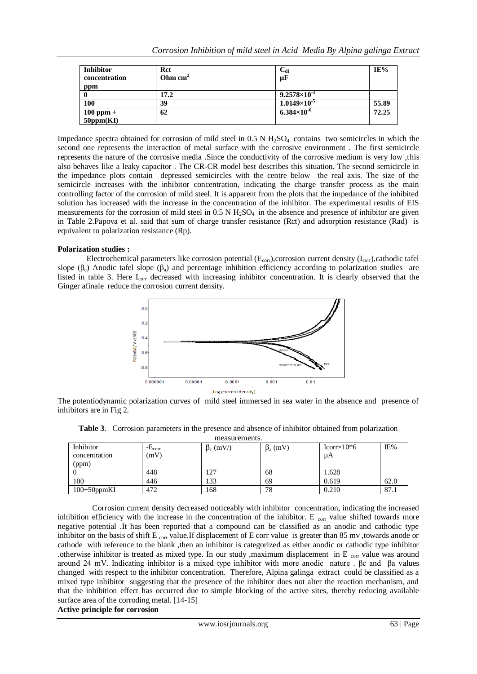| <b>Inhibitor</b><br>concentration<br>ppm | Rct<br>Ohm $cm2$ | $\frac{C_{dl}}{\mu F}$ | IE%   |
|------------------------------------------|------------------|------------------------|-------|
|                                          | 17.2             | $9.2578\times10^{-3}$  |       |
| 100                                      | 39               | $1.0149\times10^{-5}$  | 55.89 |
| $100$ ppm $+$<br>50ppm(KI)               | 62               | $6.384\times10^{-6}$   | 72.25 |

Impedance spectra obtained for corrosion of mild steel in  $0.5$  N  $H<sub>2</sub>SO<sub>4</sub>$  contains two semicircles in which the second one represents the interaction of metal surface with the corrosive environment . The first semicircle represents the nature of the corrosive media .Since the conductivity of the corrosive medium is very low ,this also behaves like a leaky capacitor . The CR-CR model best describes this situation. The second semicircle in the impedance plots contain depressed semicircles with the centre below the real axis. The size of the semicircle increases with the inhibitor concentration, indicating the charge transfer process as the main controlling factor of the corrosion of mild steel. It is apparent from the plots that the impedance of the inhibited solution has increased with the increase in the concentration of the inhibitor. The experimental results of EIS measurements for the corrosion of mild steel in  $0.5$  N  $H_2SO_4$  in the absence and presence of inhibitor are given in Table 2.Papova et al. said that sum of charge transfer resistance (Rct) and adsorption resistance (Rad) is equivalent to polarization resistance (Rp).

# **Polarization studies :**

Electrochemical parameters like corrosion potential ( $E_{\text{corr}}$ ),corrosion current density ( $I_{\text{corr}}$ ),cathodic tafel slope ( $\beta_c$ ) Anodic tafel slope ( $\beta_a$ ) and percentage inhibition efficiency according to polarization studies are listed in table 3. Here I<sub>corr</sub> decreased with increasing inhibitor concentration. It is clearly observed that the Ginger afinale reduce the corrosion current density.



The potentiodynamic polarization curves of mild steel immersed in sea water in the absence and presence of inhibitors are in Fig 2.

| measurements.  |                  |                 |                |                     |      |  |  |  |  |
|----------------|------------------|-----------------|----------------|---------------------|------|--|--|--|--|
| Inhibitor      | - $E_{\rm corr}$ | $\beta_c$ (mV/) | $\beta_a$ (mV) | $Icorr \times 10*6$ | IE%  |  |  |  |  |
| concentration  | (mV)             |                 |                | μA                  |      |  |  |  |  |
| (ppm)          |                  |                 |                |                     |      |  |  |  |  |
|                | 448              | 127             | 68             | .628                |      |  |  |  |  |
| 100            | 446              | 133             | 69             | 0.619               | 62.0 |  |  |  |  |
| $100+50$ ppmKI | 472              | 168             | 78             | 0.210               | 87.1 |  |  |  |  |

**Table 3**. Corrosion parameters in the presence and absence of inhibitor obtained from polarization

 Corrosion current density decreased noticeably with inhibitor concentration, indicating the increased inhibition efficiency with the increase in the concentration of the inhibitor. E  $_{\rm corr}$  value shifted towards more negative potential .It has been reported that a compound can be classified as an anodic and cathodic type inhibitor on the basis of shift E  $_{\rm corr}$  value.If displacement of E corr value is greater than 85 mv ,towards anode or cathode with reference to the blank ,then an inhibitor is categorized as either anodic or cathodic type inhibitor .otherwise inhibitor is treated as mixed type. In our study ,maximum displacement in E  $_{\text{corr}}$  value was around around 24 mV. Indicating inhibitor is a mixed type inhibitor with more anodic nature . βc and βa values changed with respect to the inhibitor concentration. Therefore, Alpina galinga extract could be classified as a mixed type inhibitor suggesting that the presence of the inhibitor does not alter the reaction mechanism, and that the inhibition effect has occurred due to simple blocking of the active sites, thereby reducing available surface area of the corroding metal. [14-15]

## **Active principle for corrosion**